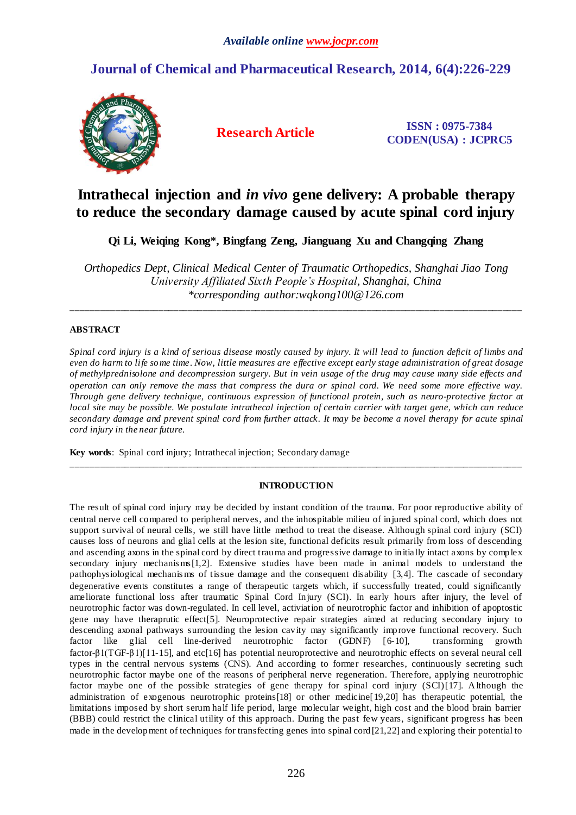## **Journal of Chemical and Pharmaceutical Research, 2014, 6(4):226-229**



**Research Article ISSN : 0975-7384 CODEN(USA) : JCPRC5**

# **Intrathecal injection and** *in vivo* **gene delivery: A probable therapy to reduce the secondary damage caused by acute spinal cord injury**

**Qi Li, Weiqing Kong\*, Bingfang Zeng, Jianguang Xu and Changqing Zhang**

*Orthopedics Dept, Clinical Medical Center of Traumatic Orthopedics, Shanghai Jiao Tong University Affiliated Sixth People's Hospital, Shanghai, China \*corresponding author:wqkong100@126.com*

\_\_\_\_\_\_\_\_\_\_\_\_\_\_\_\_\_\_\_\_\_\_\_\_\_\_\_\_\_\_\_\_\_\_\_\_\_\_\_\_\_\_\_\_\_\_\_\_\_\_\_\_\_\_\_\_\_\_\_\_\_\_\_\_\_\_\_\_\_\_\_\_\_\_\_\_\_\_\_\_\_\_\_\_\_\_\_\_\_\_\_\_\_

### **ABSTRACT**

*Spinal cord injury is a kind of serious disease mostly caused by injury. It will lead to function deficit of limbs and even do harm to life some time. Now, little measures are effective except early stage administration of great dosage of methylprednisolone and decompression surgery. But in vein usage of the drug may cause many side effects and operation can only remove the mass that compress the dura or spinal cord. We need some more effective way. Through gene delivery technique, continuous expression of functional protein, such as neuro-protective factor at local site may be possible. We postulate intrathecal injection of certain carrier with target gene, which can reduce secondary damage and prevent spinal cord from further attack. It may be become a novel therapy for acute spinal cord injury in the near future.*

**Key words**: Spinal cord injury; Intrathecal injection; Secondary damage

### **INTRODUCTION**

\_\_\_\_\_\_\_\_\_\_\_\_\_\_\_\_\_\_\_\_\_\_\_\_\_\_\_\_\_\_\_\_\_\_\_\_\_\_\_\_\_\_\_\_\_\_\_\_\_\_\_\_\_\_\_\_\_\_\_\_\_\_\_\_\_\_\_\_\_\_\_\_\_\_\_\_\_\_\_\_\_\_\_\_\_\_\_\_\_\_\_\_\_

The result of spinal cord injury may be decided by instant condition of the trauma. For poor reproductive ability of central nerve cell compared to peripheral nerves, and the inhospitable milieu of injured spinal cord, which does not support survival of neural cells, we still have little method to treat the disease. Although spinal cord injury (SCI) causes loss of neurons and glial cells at the lesion site, functional deficits result primarily from loss of descending and ascending axons in the spinal cord by direct trauma and progressive damage to initially intact axons by complex secondary injury mechanis ms[1,2]. Extensive studies have been made in animal models to understand the pathophysiological mechanis ms of tissue damage and the consequent disability [3,4]. The cascade of secondary degenerative events constitutes a range of therapeutic targets which, if successfully treated, could significantly ameliorate functional loss after traumatic Spinal Cord Injury (SCI). In early hours after injury, the level of neurotrophic factor was down-regulated. In cell level, activiation of neurotrophic factor and inhibition of apoptostic gene may have theraprutic effect[5]. Neuroprotective repair strategies aimed at reducing secondary injury to descending axonal pathways surrounding the lesion cavity may significantly improve functional recovery. Such factor like glial cell line-derived neurotrophic factor (GDNF) [6-10], transforming growth factor-β1(TGF-β1)[11-15], and etc[16] has potential neuroprotective and neurotrophic effects on several neural cell types in the central nervous systems (CNS). And according to former researches, continuously secreting such neurotrophic factor maybe one of the reasons of peripheral nerve regeneration. Therefore, applying neurotrophic factor maybe one of the possible strategies of gene therapy for spinal cord injury (SCI)[17]. Although the administration of exogenous neurotrophic proteins[18] or other medicine[19,20] has therapeutic potential, the limitations imposed by short serum half life period, large molecular weight, high cost and the blood brain barrier (BBB) could restrict the clinical utility of this approach. During the past few years, significant progress has been made in the development of techniques for transfecting genes into spinal cord[21,22] and exploring their potential to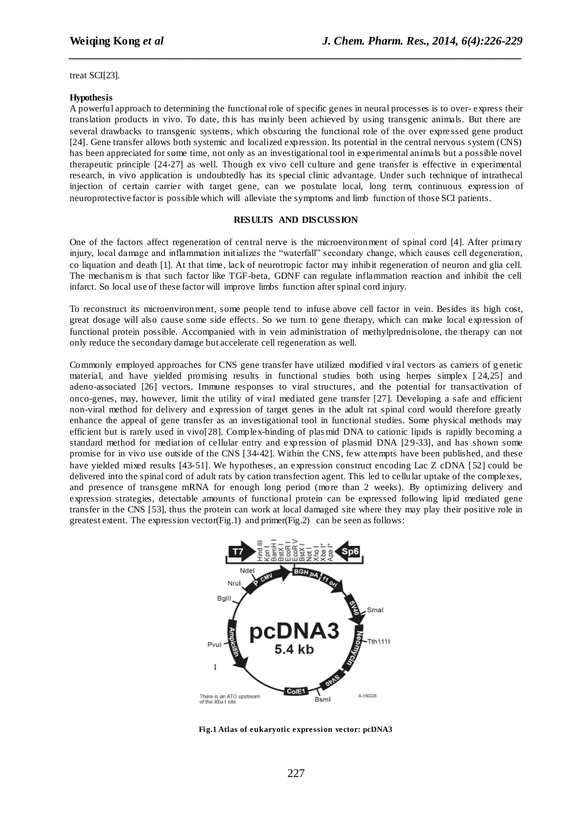treat SCI[23].

#### **Hypothesis**

A powerful approach to determining the functional role of specific genes in neural processes is to over- express their translation products in vivo. To date, this has mainly been achieved by using transgenic animals. But there are several drawbacks to transgenic systems, which obscuring the functional role of the over expre ssed gene product [24]. Gene transfer allows both systemic and localized expression. Its potential in the central nervous system (CNS) has been appreciated for some time, not only as an investigational tool in experimental animals but a possible novel therapeutic principle [24-27] as well. Though ex vivo cell culture and gene transfer is effective in experimental research, in vivo application is undoubtedly has its special clinic advantage. Under such technique of intrathecal injection of certain carrier with target gene, can we postulate local, long term, continuous expression of neuroprotective factor is possible which will alleviate the symptoms and limb function of those SCI patients.

*\_\_\_\_\_\_\_\_\_\_\_\_\_\_\_\_\_\_\_\_\_\_\_\_\_\_\_\_\_\_\_\_\_\_\_\_\_\_\_\_\_\_\_\_\_\_\_\_\_\_\_\_\_\_\_\_\_\_\_\_\_\_\_\_\_\_\_\_\_\_\_\_\_\_\_\_\_\_*

#### **RESULTS AND DISCUSSION**

One of the factors affect regeneration of central nerve is the microenvironment of spinal cord [4]. After primary injury, local damage and inflammation initializes the "waterfall" secondary change, which causes cell degeneration, co liquation and death [1]. At that time, lack of neurotropic factor may inhibit regeneration of neuron and glia cell. The mechanis m is that such factor like TGF-beta, GDNF can regulate inflammation reaction and inhibit the cell infarct. So local use of these factor will improve limbs function after spinal cord injury.

To reconstruct its microenvironment, some people tend to infuse above cell factor in vein. Besides its high cost, great dosage will also cause some side effects. So we turn to gene therapy, which can make local expression of functional protein possible. Accompanied with in vein administration of methylprednisolone, the therapy can not only reduce the secondary damage but accelerate cell regeneration as well.

Commonly employed approaches for CNS gene transfer have utilized modified viral vectors as carriers of g enetic material, and have yielded promising results in functional studies both using herpes simplex [ 24,25] and adeno-associated [26] vectors. Immune responses to viral structures, and the potential for transactivation of onco-genes, may, however, limit the utility of viral mediated gene transfer [27]. Developing a safe and efficient non-viral method for delivery and expression of target genes in the adult rat spinal cord would therefore greatly enhance the appeal of gene transfer as an investigational tool in functional studies. Some physical methods may efficient but is rarely used in vivo[28]. Complex-binding of plas mid DNA to cationic lipids is rapidly becoming a standard method for mediation of cellular entry and expression of plasmid DNA [2 9-33], and has shown some promise for in vivo use outside of the CNS [34-42]. Within the CNS, few attempts have been published, and these have yielded mixed results [43-51]. We hypotheses, an expression construct encoding Lac Z cDNA [52] could be delivered into the spinal cord of adult rats by cation transfection agent. This led to cellular uptake of the complexes, and presence of transgene mRNA for enough long period (more than 2 weeks). By optimizing delivery and expression strategies, detectable amounts of functional protein can be expressed following lipid mediated gene transfer in the CNS [53], thus the protein can work at local damaged site where they may play their positive role in greatest extent. The expression vector(Fig.1) and primer(Fig.2) can be seen as follows:



**Fig.1 Atlas of eukaryotic expression vector: pcDNA3**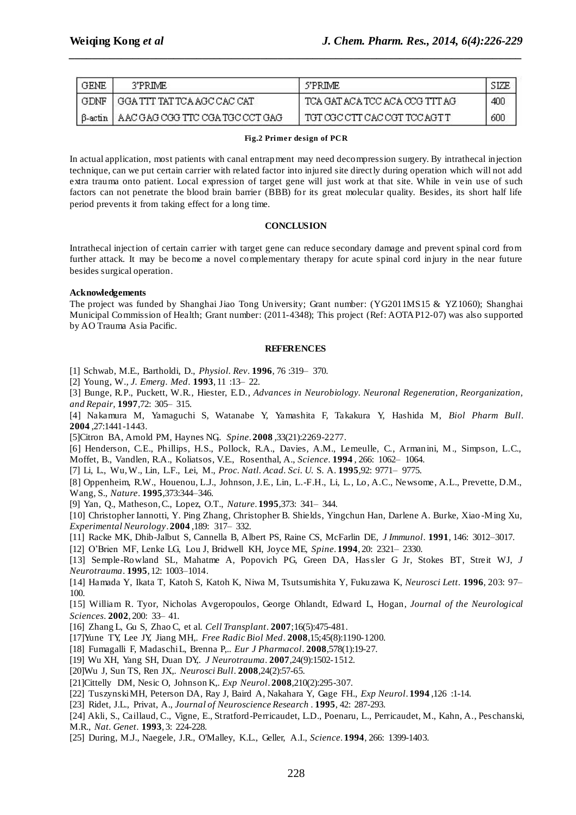| GENE   | 3'PRIME                                   | 5'PRIME                         |     |
|--------|-------------------------------------------|---------------------------------|-----|
| ' GDNE | ' I GGA TTT TAT TCA AGC CAC CAT           | TCA GAT ACA TCC ACA CCG TTT AG  | 400 |
|        | B-actin   AAC GAG CGG TTC CGA TGC CCT GAG | I TGT OGC CTT CAC CGT TCC AGT T | 600 |

*\_\_\_\_\_\_\_\_\_\_\_\_\_\_\_\_\_\_\_\_\_\_\_\_\_\_\_\_\_\_\_\_\_\_\_\_\_\_\_\_\_\_\_\_\_\_\_\_\_\_\_\_\_\_\_\_\_\_\_\_\_\_\_\_\_\_\_\_\_\_\_\_\_\_\_\_\_\_*

#### **Fig.2 Primer design of PCR**

In actual application, most patients with canal entrapment may need decompression surgery. By intrathecal injection technique, can we put certain carrier with related factor into injured site directly during operation which will not add extra trauma onto patient. Local expression of target gene will just work at that site. While in vein use of such factors can not penetrate the blood brain barrier (BBB) for its great molecular quality. Besides, its short half life period prevents it from taking effect for a long time.

#### **CONCLUSION**

Intrathecal injection of certain carrier with target gene can reduce secondary damage and prevent spinal cord from further attack. It may be become a novel complementary therapy for acute spinal cord injury in the near future besides surgical operation.

#### **Acknowledgements**

The project was funded by Shanghai Jiao Tong University; Grant number: (YG2011MS15 & YZ1060); Shanghai Municipal Commission of Health; Grant number: (2011-4348); This project (Ref: AOTAP12-07) was also supported by AO Trauma Asia Pacific.

#### **REFERENCES**

[1] Schwab, M.E., Bartholdi, D., *Physiol. Rev*. **1996**, 76 :319– 370.

[2] Young, W*., J. Emerg. Med*. **1993**, 11 :13– 22.

[3] Bunge, R.P., Puckett, W.R., Hiester, E.D., *Advances in Neurobiology. Neuronal Regeneration, Reorganization, and Repair,* **1997**,72: 305– 315.

[4] Nakamura M, Yamaguchi S, Watanabe Y, Yamashita F, Takakura Y, Hashida M, *Biol Pharm Bull*. **2004** ,27:1441-1443.

[5]Citron BA, Arnold PM, Haynes NG,. *Spine*. **2008** ,33(21):2269-2277.

[6] Henderson, C.E., Phillips, H.S., Pollock, R.A., Davies, A.M., Lemeulle, C., Armanini, M., Simpson, L.C., Moffet, B., Vandlen, R.A., Koliatsos, V.E., Rosenthal, A., *Science*. **1994** , 266: 1062– 1064.

[7] Li, L., Wu, W., Lin, L.F., Lei, M., *Proc. Natl. Acad. Sci. U.* S. A. **1995**,92: 9771– 9775.

[8] Oppenheim, R.W., Houenou, L.J., Johnson, J.E., Lin, L.-F.H., Li, L., Lo, A.C., Newsome, A.L., Prevette, D.M., Wang, S., *Nature*. **1995**,373:344–346.

[9] Yan, Q., Matheson, C., Lopez, O.T., *Nature*. **1995**,373: 341– 344.

[10] Christopher Iannotti, Y. Ping Zhang, Christopher B. Shields, Yingchun Han, Darlene A. Burke, Xiao -Ming Xu, *Experimental Neurology*. **2004** ,189: 317– 332.

[11] [Racke MK, Dhib-Jalbut S, Cannella B, Albert PS, Raine CS, McFarlin DE,](http://www.ncbi.nlm.nih.gov/entrez/query.fcgi?cmd=Retrieve&db=pubmed&dopt=Abstract&list_uids=1707929&query_hl=5&itool=pubmed_docsum) *J Immunol*. **1991**, 146: 3012–3017.

[12] O'Brien MF, Lenke LG, Lou J, Bridwell KH, Joyce ME, *Spine*. **1994**, 20: 2321– 2330.

[13] [Semple-Rowland SL, Mahatme A, Popovich PG, Green DA, Hassler G Jr, Stokes BT, Streit WJ,](http://www.ncbi.nlm.nih.gov/entrez/query.fcgi?cmd=Retrieve&db=pubmed&dopt=Abstract&list_uids=8742129&query_hl=6&itool=pubmed_docsum) *J Neurotrauma*. **1995**, 12: 1003–1014.

[14] [Hamada Y,](http://www.ncbi.nlm.nih.gov/entrez/query.fcgi?db=pubmed&cmd=Search&itool=pubmed_Abstract&term=%22Hamada+Y%22%5BAuthor%5D) [Ikata T,](http://www.ncbi.nlm.nih.gov/entrez/query.fcgi?db=pubmed&cmd=Search&itool=pubmed_Abstract&term=%22Ikata+T%22%5BAuthor%5D) [Katoh S,](http://www.ncbi.nlm.nih.gov/entrez/query.fcgi?db=pubmed&cmd=Search&itool=pubmed_Abstract&term=%22Katoh+S%22%5BAuthor%5D) [Katoh K,](http://www.ncbi.nlm.nih.gov/entrez/query.fcgi?db=pubmed&cmd=Search&itool=pubmed_Abstract&term=%22Katoh+K%22%5BAuthor%5D) [Niwa M,](http://www.ncbi.nlm.nih.gov/entrez/query.fcgi?db=pubmed&cmd=Search&itool=pubmed_Abstract&term=%22Niwa+M%22%5BAuthor%5D) [Tsutsumishita Y,](http://www.ncbi.nlm.nih.gov/entrez/query.fcgi?db=pubmed&cmd=Search&itool=pubmed_Abstract&term=%22Tsutsumishita+Y%22%5BAuthor%5D) [Fukuzawa K,](http://www.ncbi.nlm.nih.gov/entrez/query.fcgi?db=pubmed&cmd=Search&itool=pubmed_Abstract&term=%22Fukuzawa+K%22%5BAuthor%5D) *Neurosci Lett*. **1996**, 203: 97– 100.

[15] William R. Tyor, Nicholas Avgeropoulos, George Ohlandt, Edward L, Hogan, *Journal of the Neurological Sciences*. **2002**, 200: 33– 41.

[16] Zhang L, Gu S, Zhao C, et al. *Cell Transplant*. **2007**;16(5):475-481.

[17]Yune TY, Lee JY, Jiang MH,. *Free Radic Biol Med*. **2008**,15;45(8):1190-1200.

[18] Fumagalli F, Madaschi L, Brenna P,.. *Eur J Pharmacol*. **2008**,578(1):19-27.

[19] Wu XH, Yang SH, Duan DY,. *J Neurotrauma*. **2007**,24(9):1502-1512.

[20]Wu J, Sun TS, Ren JX,. *Neurosci Bull*. **2008**,24(2):57-65.

[21]Cittelly DM, Nesic O, Johnson K,. *Exp Neurol*. **2008**,210(2):295-307.

[22] [Tuszynski MH,](http://www.ncbi.nlm.nih.gov/entrez/query.fcgi?db=pubmed&cmd=Search&itool=pubmed_Abstract&term=%22Tuszynski+MH%22%5BAuthor%5D) [Peterson DA,](http://www.ncbi.nlm.nih.gov/entrez/query.fcgi?db=pubmed&cmd=Search&itool=pubmed_Abstract&term=%22Peterson+DA%22%5BAuthor%5D) [Ray J,](http://www.ncbi.nlm.nih.gov/entrez/query.fcgi?db=pubmed&cmd=Search&itool=pubmed_Abstract&term=%22Ray+J%22%5BAuthor%5D) [Baird A,](http://www.ncbi.nlm.nih.gov/entrez/query.fcgi?db=pubmed&cmd=Search&itool=pubmed_Abstract&term=%22Baird+A%22%5BAuthor%5D) [Nakahara Y,](http://www.ncbi.nlm.nih.gov/entrez/query.fcgi?db=pubmed&cmd=Search&itool=pubmed_Abstract&term=%22Nakahara+Y%22%5BAuthor%5D) [Gage FH.](http://www.ncbi.nlm.nih.gov/entrez/query.fcgi?db=pubmed&cmd=Search&itool=pubmed_Abstract&term=%22Gage+FH%22%5BAuthor%5D), *Exp Neurol*. **1994** ,126 :1-14.

[23] Ridet, J.L., Privat, A., *Journal of Neuroscience Research* . **1995**, 42: 287-293.

[24] Akli, S., Caillaud, C., Vigne, E., Stratford-Perricaudet, L.D., Poenaru, L., Perricaudet, M., Kahn, A., Peschanski, M.R., *Nat. Genet*. **1993**, 3: 224-228.

[25] During, M.J., Naegele, J.R., O'Malley, K.L., Geller, A.I., *Science*. **1994**, 266: 1399-1403.